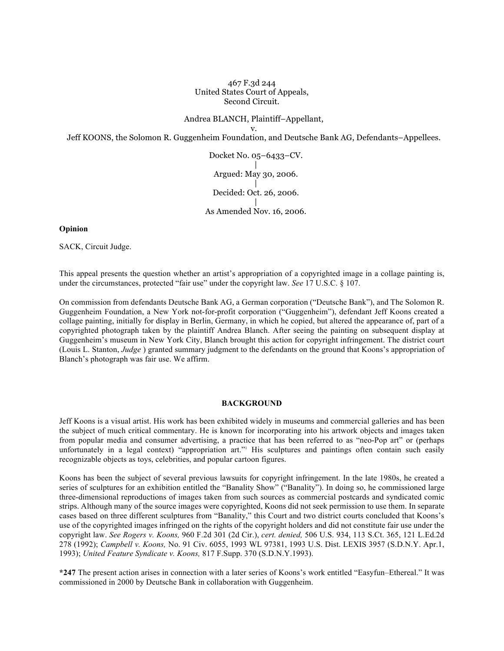467 F.3d 244 United States Court of Appeals, Second Circuit.

Andrea BLANCH, Plaintiff–Appellant,

v. Jeff KOONS, the Solomon R. Guggenheim Foundation, and Deutsche Bank AG, Defendants–Appellees.

> Docket No. 05–6433–CV. | Argued: May 30, 2006. | Decided: Oct. 26, 2006. | As Amended Nov. 16, 2006.

**Opinion**

SACK, Circuit Judge.

This appeal presents the question whether an artist's appropriation of a copyrighted image in a collage painting is, under the circumstances, protected "fair use" under the copyright law. *See* 17 U.S.C. § 107.

On commission from defendants Deutsche Bank AG, a German corporation ("Deutsche Bank"), and The Solomon R. Guggenheim Foundation, a New York not-for-profit corporation ("Guggenheim"), defendant Jeff Koons created a collage painting, initially for display in Berlin, Germany, in which he copied, but altered the appearance of, part of a copyrighted photograph taken by the plaintiff Andrea Blanch. After seeing the painting on subsequent display at Guggenheim's museum in New York City, Blanch brought this action for copyright infringement. The district court (Louis L. Stanton, *Judge* ) granted summary judgment to the defendants on the ground that Koons's appropriation of Blanch's photograph was fair use. We affirm.

### **BACKGROUND**

Jeff Koons is a visual artist. His work has been exhibited widely in museums and commercial galleries and has been the subject of much critical commentary. He is known for incorporating into his artwork objects and images taken from popular media and consumer advertising, a practice that has been referred to as "neo-Pop art" or (perhaps unfortunately in a legal context) "appropriation art."<sup>1</sup> His sculptures and paintings often contain such easily recognizable objects as toys, celebrities, and popular cartoon figures.

Koons has been the subject of several previous lawsuits for copyright infringement. In the late 1980s, he created a series of sculptures for an exhibition entitled the "Banality Show" ("Banality"). In doing so, he commissioned large three-dimensional reproductions of images taken from such sources as commercial postcards and syndicated comic strips. Although many of the source images were copyrighted, Koons did not seek permission to use them. In separate cases based on three different sculptures from "Banality," this Court and two district courts concluded that Koons's use of the copyrighted images infringed on the rights of the copyright holders and did not constitute fair use under the copyright law. *See Rogers v. Koons,* 960 F.2d 301 (2d Cir.), *cert. denied,* 506 U.S. 934, 113 S.Ct. 365, 121 L.Ed.2d 278 (1992); *Campbell v. Koons,* No. 91 Civ. 6055, 1993 WL 97381, 1993 U.S. Dist. LEXIS 3957 (S.D.N.Y. Apr.1, 1993); *United Feature Syndicate v. Koons,* 817 F.Supp. 370 (S.D.N.Y.1993).

**\*247** The present action arises in connection with a later series of Koons's work entitled "Easyfun–Ethereal." It was commissioned in 2000 by Deutsche Bank in collaboration with Guggenheim.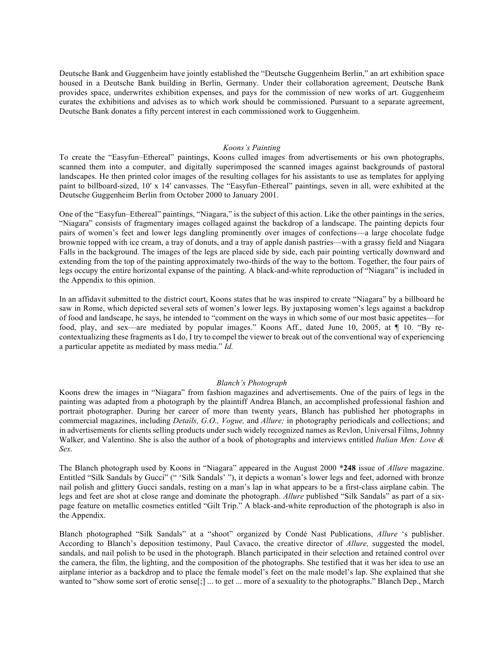Deutsche Bank and Guggenheim have jointly established the "Deutsche Guggenheim Berlin," an art exhibition space housed in a Deutsche Bank building in Berlin, Germany. Under their collaboration agreement, Deutsche Bank provides space, underwrites exhibition expenses, and pays for the commission of new works of art. Guggenheim curates the exhibitions and advises as to which work should be commissioned. Pursuant to a separate agreement, Deutsche Bank donates a fifty percent interest in each commissioned work to Guggenheim.

#### *Koons's Painting*

To create the "Easyfun–Ethereal" paintings, Koons culled images from advertisements or his own photographs, scanned them into a computer, and digitally superimposed the scanned images against backgrounds of pastoral landscapes. He then printed color images of the resulting collages for his assistants to use as templates for applying paint to billboard-sized, 10′ x 14′ canvasses. The "Easyfun–Ethereal" paintings, seven in all, were exhibited at the Deutsche Guggenheim Berlin from October 2000 to January 2001.

One of the "Easyfun–Ethereal" paintings, "Niagara," is the subject of this action. Like the other paintings in the series, "Niagara" consists of fragmentary images collaged against the backdrop of a landscape. The painting depicts four pairs of women's feet and lower legs dangling prominently over images of confections—a large chocolate fudge brownie topped with ice cream, a tray of donuts, and a tray of apple danish pastries—with a grassy field and Niagara Falls in the background. The images of the legs are placed side by side, each pair pointing vertically downward and extending from the top of the painting approximately two-thirds of the way to the bottom. Together, the four pairs of legs occupy the entire horizontal expanse of the painting. A black-and-white reproduction of "Niagara" is included in the Appendix to this opinion.

In an affidavit submitted to the district court, Koons states that he was inspired to create "Niagara" by a billboard he saw in Rome, which depicted several sets of women's lower legs. By juxtaposing women's legs against a backdrop of food and landscape, he says, he intended to "comment on the ways in which some of our most basic appetites—for food, play, and sex—are mediated by popular images." Koons Aff., dated June 10, 2005, at ¶ 10. "By recontextualizing these fragments as I do, I try to compel the viewer to break out of the conventional way of experiencing a particular appetite as mediated by mass media." *Id.*

### *Blanch's Photograph*

Koons drew the images in "Niagara" from fashion magazines and advertisements. One of the pairs of legs in the painting was adapted from a photograph by the plaintiff Andrea Blanch, an accomplished professional fashion and portrait photographer. During her career of more than twenty years, Blanch has published her photographs in commercial magazines, including *Details, G.O., Vogue,* and *Allure;* in photography periodicals and collections; and in advertisements for clients selling products under such widely recognized names as Revlon, Universal Films, Johnny Walker, and Valentino. She is also the author of a book of photographs and interviews entitled *Italian Men: Love & Sex.*

The Blanch photograph used by Koons in "Niagara" appeared in the August 2000 **\*248** issue of *Allure* magazine. Entitled "Silk Sandals by Gucci" (" 'Silk Sandals' "), it depicts a woman's lower legs and feet, adorned with bronze nail polish and glittery Gucci sandals, resting on a man's lap in what appears to be a first-class airplane cabin. The legs and feet are shot at close range and dominate the photograph. *Allure* published "Silk Sandals" as part of a sixpage feature on metallic cosmetics entitled "Gilt Trip." A black-and-white reproduction of the photograph is also in the Appendix.

Blanch photographed "Silk Sandals" at a "shoot" organized by Condé Nast Publications, *Allure* 's publisher. According to Blanch's deposition testimony, Paul Cavaco, the creative director of *Allure,* suggested the model, sandals, and nail polish to be used in the photograph. Blanch participated in their selection and retained control over the camera, the film, the lighting, and the composition of the photographs. She testified that it was her idea to use an airplane interior as a backdrop and to place the female model's feet on the male model's lap. She explained that she wanted to "show some sort of erotic sense[;] ... to get ... more of a sexuality to the photographs." Blanch Dep., March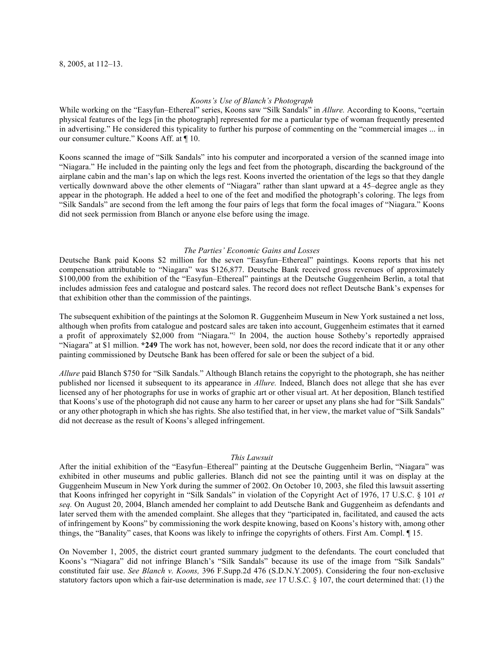### *Koons's Use of Blanch's Photograph*

While working on the "Easyfun–Ethereal" series, Koons saw "Silk Sandals" in *Allure.* According to Koons, "certain physical features of the legs [in the photograph] represented for me a particular type of woman frequently presented in advertising." He considered this typicality to further his purpose of commenting on the "commercial images ... in our consumer culture." Koons Aff. at ¶ 10.

Koons scanned the image of "Silk Sandals" into his computer and incorporated a version of the scanned image into "Niagara." He included in the painting only the legs and feet from the photograph, discarding the background of the airplane cabin and the man's lap on which the legs rest. Koons inverted the orientation of the legs so that they dangle vertically downward above the other elements of "Niagara" rather than slant upward at a 45–degree angle as they appear in the photograph. He added a heel to one of the feet and modified the photograph's coloring. The legs from "Silk Sandals" are second from the left among the four pairs of legs that form the focal images of "Niagara." Koons did not seek permission from Blanch or anyone else before using the image.

#### *The Parties' Economic Gains and Losses*

Deutsche Bank paid Koons \$2 million for the seven "Easyfun–Ethereal" paintings. Koons reports that his net compensation attributable to "Niagara" was \$126,877. Deutsche Bank received gross revenues of approximately \$100,000 from the exhibition of the "Easyfun–Ethereal" paintings at the Deutsche Guggenheim Berlin, a total that includes admission fees and catalogue and postcard sales. The record does not reflect Deutsche Bank's expenses for that exhibition other than the commission of the paintings.

The subsequent exhibition of the paintings at the Solomon R. Guggenheim Museum in New York sustained a net loss, although when profits from catalogue and postcard sales are taken into account, Guggenheim estimates that it earned a profit of approximately \$2,000 from "Niagara."2 In 2004, the auction house Sotheby's reportedly appraised "Niagara" at \$1 million. **\*249** The work has not, however, been sold, nor does the record indicate that it or any other painting commissioned by Deutsche Bank has been offered for sale or been the subject of a bid.

*Allure* paid Blanch \$750 for "Silk Sandals." Although Blanch retains the copyright to the photograph, she has neither published nor licensed it subsequent to its appearance in *Allure.* Indeed, Blanch does not allege that she has ever licensed any of her photographs for use in works of graphic art or other visual art. At her deposition, Blanch testified that Koons's use of the photograph did not cause any harm to her career or upset any plans she had for "Silk Sandals" or any other photograph in which she has rights. She also testified that, in her view, the market value of "Silk Sandals" did not decrease as the result of Koons's alleged infringement.

### *This Lawsuit*

After the initial exhibition of the "Easyfun–Ethereal" painting at the Deutsche Guggenheim Berlin, "Niagara" was exhibited in other museums and public galleries. Blanch did not see the painting until it was on display at the Guggenheim Museum in New York during the summer of 2002. On October 10, 2003, she filed this lawsuit asserting that Koons infringed her copyright in "Silk Sandals" in violation of the Copyright Act of 1976, 17 U.S.C. § 101 *et seq.* On August 20, 2004, Blanch amended her complaint to add Deutsche Bank and Guggenheim as defendants and later served them with the amended complaint. She alleges that they "participated in, facilitated, and caused the acts of infringement by Koons" by commissioning the work despite knowing, based on Koons's history with, among other things, the "Banality" cases, that Koons was likely to infringe the copyrights of others. First Am. Compl. ¶ 15.

On November 1, 2005, the district court granted summary judgment to the defendants. The court concluded that Koons's "Niagara" did not infringe Blanch's "Silk Sandals" because its use of the image from "Silk Sandals" constituted fair use. *See Blanch v. Koons,* 396 F.Supp.2d 476 (S.D.N.Y.2005). Considering the four non-exclusive statutory factors upon which a fair-use determination is made, *see* 17 U.S.C. § 107, the court determined that: (1) the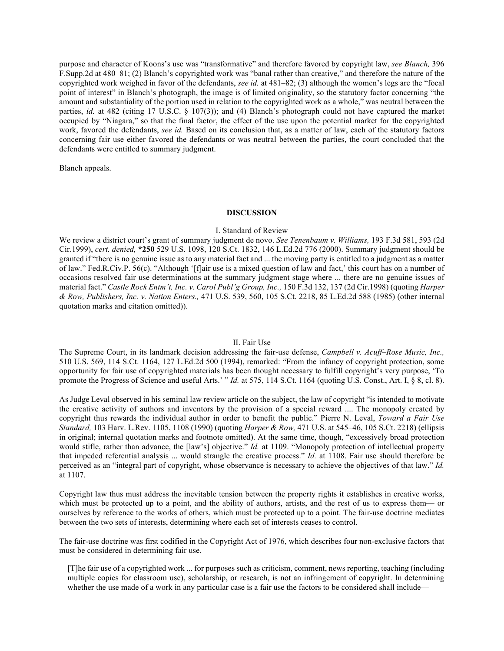purpose and character of Koons's use was "transformative" and therefore favored by copyright law, *see Blanch,* 396 F.Supp.2d at 480–81; (2) Blanch's copyrighted work was "banal rather than creative," and therefore the nature of the copyrighted work weighed in favor of the defendants, *see id.* at 481–82; (3) although the women's legs are the "focal point of interest" in Blanch's photograph, the image is of limited originality, so the statutory factor concerning "the amount and substantiality of the portion used in relation to the copyrighted work as a whole," was neutral between the parties, *id.* at 482 (citing 17 U.S.C. § 107(3)); and (4) Blanch's photograph could not have captured the market occupied by "Niagara," so that the final factor, the effect of the use upon the potential market for the copyrighted work, favored the defendants, *see id.* Based on its conclusion that, as a matter of law, each of the statutory factors concerning fair use either favored the defendants or was neutral between the parties, the court concluded that the defendants were entitled to summary judgment.

Blanch appeals.

### **DISCUSSION**

### I. Standard of Review

We review a district court's grant of summary judgment de novo. *See Tenenbaum v. Williams,* 193 F.3d 581, 593 (2d Cir.1999), *cert. denied,* **\*250** 529 U.S. 1098, 120 S.Ct. 1832, 146 L.Ed.2d 776 (2000). Summary judgment should be granted if "there is no genuine issue as to any material fact and ... the moving party is entitled to a judgment as a matter of law." Fed.R.Civ.P. 56(c). "Although '[f]air use is a mixed question of law and fact,' this court has on a number of occasions resolved fair use determinations at the summary judgment stage where ... there are no genuine issues of material fact." *Castle Rock Entm't, Inc. v. Carol Publ'g Group, Inc.,* 150 F.3d 132, 137 (2d Cir.1998) (quoting *Harper & Row, Publishers, Inc. v. Nation Enters.,* 471 U.S. 539, 560, 105 S.Ct. 2218, 85 L.Ed.2d 588 (1985) (other internal quotation marks and citation omitted)).

### II. Fair Use

The Supreme Court, in its landmark decision addressing the fair-use defense, *Campbell v. Acuff–Rose Music, Inc.,* 510 U.S. 569, 114 S.Ct. 1164, 127 L.Ed.2d 500 (1994), remarked: "From the infancy of copyright protection, some opportunity for fair use of copyrighted materials has been thought necessary to fulfill copyright's very purpose, 'To promote the Progress of Science and useful Arts.' " *Id.* at 575, 114 S.Ct. 1164 (quoting U.S. Const., Art. I, § 8, cl. 8).

As Judge Leval observed in his seminal law review article on the subject, the law of copyright "is intended to motivate the creative activity of authors and inventors by the provision of a special reward .... The monopoly created by copyright thus rewards the individual author in order to benefit the public." Pierre N. Leval, *Toward a Fair Use Standard,* 103 Harv. L.Rev. 1105, 1108 (1990) (quoting *Harper & Row,* 471 U.S. at 545–46, 105 S.Ct. 2218) (ellipsis in original; internal quotation marks and footnote omitted). At the same time, though, "excessively broad protection would stifle, rather than advance, the [law's] objective." *Id.* at 1109. "Monopoly protection of intellectual property that impeded referential analysis ... would strangle the creative process." *Id.* at 1108. Fair use should therefore be perceived as an "integral part of copyright, whose observance is necessary to achieve the objectives of that law." *Id.* at 1107.

Copyright law thus must address the inevitable tension between the property rights it establishes in creative works, which must be protected up to a point, and the ability of authors, artists, and the rest of us to express them— or ourselves by reference to the works of others, which must be protected up to a point. The fair-use doctrine mediates between the two sets of interests, determining where each set of interests ceases to control.

The fair-use doctrine was first codified in the Copyright Act of 1976, which describes four non-exclusive factors that must be considered in determining fair use.

[T]he fair use of a copyrighted work ... for purposes such as criticism, comment, news reporting, teaching (including multiple copies for classroom use), scholarship, or research, is not an infringement of copyright. In determining whether the use made of a work in any particular case is a fair use the factors to be considered shall include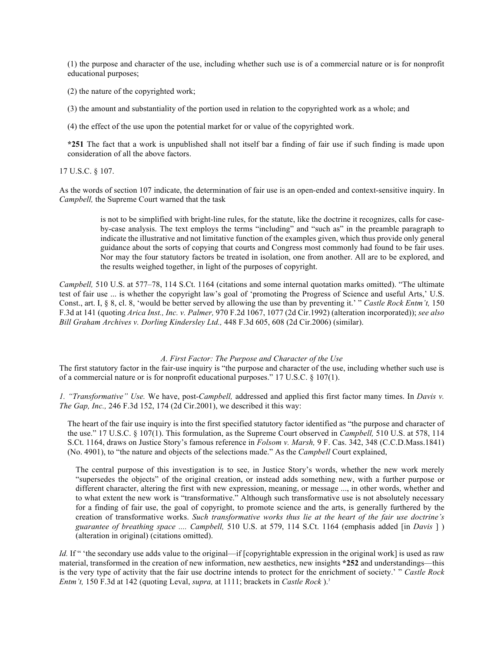(1) the purpose and character of the use, including whether such use is of a commercial nature or is for nonprofit educational purposes;

(2) the nature of the copyrighted work;

(3) the amount and substantiality of the portion used in relation to the copyrighted work as a whole; and

(4) the effect of the use upon the potential market for or value of the copyrighted work.

**\*251** The fact that a work is unpublished shall not itself bar a finding of fair use if such finding is made upon consideration of all the above factors.

17 U.S.C. § 107.

As the words of section 107 indicate, the determination of fair use is an open-ended and context-sensitive inquiry. In *Campbell,* the Supreme Court warned that the task

> is not to be simplified with bright-line rules, for the statute, like the doctrine it recognizes, calls for caseby-case analysis. The text employs the terms "including" and "such as" in the preamble paragraph to indicate the illustrative and not limitative function of the examples given, which thus provide only general guidance about the sorts of copying that courts and Congress most commonly had found to be fair uses. Nor may the four statutory factors be treated in isolation, one from another. All are to be explored, and the results weighed together, in light of the purposes of copyright.

*Campbell,* 510 U.S. at 577–78, 114 S.Ct. 1164 (citations and some internal quotation marks omitted). "The ultimate test of fair use ... is whether the copyright law's goal of 'promoting the Progress of Science and useful Arts,' U.S. Const., art. I, § 8, cl. 8, 'would be better served by allowing the use than by preventing it.' " *Castle Rock Entm't,* 150 F.3d at 141 (quoting *Arica Inst., Inc. v. Palmer,* 970 F.2d 1067, 1077 (2d Cir.1992) (alteration incorporated)); *see also Bill Graham Archives v. Dorling Kindersley Ltd.,* 448 F.3d 605, 608 (2d Cir.2006) (similar).

### *A. First Factor: The Purpose and Character of the Use*

The first statutory factor in the fair-use inquiry is "the purpose and character of the use, including whether such use is of a commercial nature or is for nonprofit educational purposes." 17 U.S.C. § 107(1).

*1. "Transformative" Use.* We have, post-*Campbell,* addressed and applied this first factor many times. In *Davis v. The Gap, Inc.,* 246 F.3d 152, 174 (2d Cir.2001), we described it this way:

The heart of the fair use inquiry is into the first specified statutory factor identified as "the purpose and character of the use." 17 U.S.C. § 107(1). This formulation, as the Supreme Court observed in *Campbell,* 510 U.S. at 578, 114 S.Ct. 1164, draws on Justice Story's famous reference in *Folsom v. Marsh,* 9 F. Cas. 342, 348 (C.C.D.Mass.1841) (No. 4901), to "the nature and objects of the selections made." As the *Campbell* Court explained,

The central purpose of this investigation is to see, in Justice Story's words, whether the new work merely "supersedes the objects" of the original creation, or instead adds something new, with a further purpose or different character, altering the first with new expression, meaning, or message ..., in other words, whether and to what extent the new work is "transformative." Although such transformative use is not absolutely necessary for a finding of fair use, the goal of copyright, to promote science and the arts, is generally furthered by the creation of transformative works. *Such transformative works thus lie at the heart of the fair use doctrine's guarantee of breathing space .... Campbell,* 510 U.S. at 579, 114 S.Ct. 1164 (emphasis added [in *Davis* ] ) (alteration in original) (citations omitted).

*Id.* If " 'the secondary use adds value to the original—if [copyrightable expression in the original work] is used as raw material, transformed in the creation of new information, new aesthetics, new insights **\*252** and understandings—this is the very type of activity that the fair use doctrine intends to protect for the enrichment of society.' " *Castle Rock Entm't,* 150 F.3d at 142 (quoting Leval, *supra,* at 1111; brackets in *Castle Rock* ).3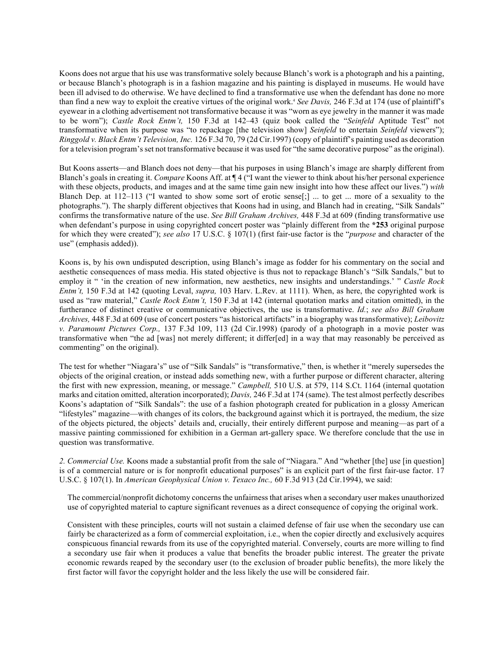Koons does not argue that his use was transformative solely because Blanch's work is a photograph and his a painting, or because Blanch's photograph is in a fashion magazine and his painting is displayed in museums. He would have been ill advised to do otherwise. We have declined to find a transformative use when the defendant has done no more than find a new way to exploit the creative virtues of the original work.<sup>4</sup> See Davis, 246 F.3d at 174 (use of plaintiff's eyewear in a clothing advertisement not transformative because it was "worn as eye jewelry in the manner it was made to be worn"); *Castle Rock Entm't,* 150 F.3d at 142–43 (quiz book called the "*Seinfeld* Aptitude Test" not transformative when its purpose was "to repackage [the television show] *Seinfeld* to entertain *Seinfeld* viewers"); *Ringgold v. Black Entm't Television, Inc.* 126 F.3d 70, 79 (2d Cir.1997) (copy of plaintiff's painting used as decoration for a television program's set not transformative because it was used for "the same decorative purpose" as the original).

But Koons asserts—and Blanch does not deny—that his purposes in using Blanch's image are sharply different from Blanch's goals in creating it. *Compare* Koons Aff. at ¶ 4 ("I want the viewer to think about his/her personal experience with these objects, products, and images and at the same time gain new insight into how these affect our lives.") *with* Blanch Dep. at 112–113 ("I wanted to show some sort of erotic sense[;] ... to get ... more of a sexuality to the photographs."). The sharply different objectives that Koons had in using, and Blanch had in creating, "Silk Sandals" confirms the transformative nature of the use. *See Bill Graham Archives,* 448 F.3d at 609 (finding transformative use when defendant's purpose in using copyrighted concert poster was "plainly different from the **\*253** original purpose for which they were created"); *see also* 17 U.S.C. § 107(1) (first fair-use factor is the "*purpose* and character of the use" (emphasis added)).

Koons is, by his own undisputed description, using Blanch's image as fodder for his commentary on the social and aesthetic consequences of mass media. His stated objective is thus not to repackage Blanch's "Silk Sandals," but to employ it " 'in the creation of new information, new aesthetics, new insights and understandings.' " *Castle Rock Entm't,* 150 F.3d at 142 (quoting Leval, *supra,* 103 Harv. L.Rev. at 1111). When, as here, the copyrighted work is used as "raw material," *Castle Rock Entm't,* 150 F.3d at 142 (internal quotation marks and citation omitted), in the furtherance of distinct creative or communicative objectives, the use is transformative. *Id.*; *see also Bill Graham Archives,* 448 F.3d at 609 (use of concert posters "as historical artifacts" in a biography was transformative); *Leibovitz v. Paramount Pictures Corp.,* 137 F.3d 109, 113 (2d Cir.1998) (parody of a photograph in a movie poster was transformative when "the ad [was] not merely different; it differ[ed] in a way that may reasonably be perceived as commenting" on the original).

The test for whether "Niagara's" use of "Silk Sandals" is "transformative," then, is whether it "merely supersedes the objects of the original creation, or instead adds something new, with a further purpose or different character, altering the first with new expression, meaning, or message." *Campbell,* 510 U.S. at 579, 114 S.Ct. 1164 (internal quotation marks and citation omitted, alteration incorporated); *Davis,* 246 F.3d at 174 (same). The test almost perfectly describes Koons's adaptation of "Silk Sandals": the use of a fashion photograph created for publication in a glossy American "lifestyles" magazine—with changes of its colors, the background against which it is portrayed, the medium, the size of the objects pictured, the objects' details and, crucially, their entirely different purpose and meaning—as part of a massive painting commissioned for exhibition in a German art-gallery space. We therefore conclude that the use in question was transformative.

*2. Commercial Use.* Koons made a substantial profit from the sale of "Niagara." And "whether [the] use [in question] is of a commercial nature or is for nonprofit educational purposes" is an explicit part of the first fair-use factor. 17 U.S.C. § 107(1). In *American Geophysical Union v. Texaco Inc.,* 60 F.3d 913 (2d Cir.1994), we said:

The commercial/nonprofit dichotomy concerns the unfairness that arises when a secondary user makes unauthorized use of copyrighted material to capture significant revenues as a direct consequence of copying the original work.

Consistent with these principles, courts will not sustain a claimed defense of fair use when the secondary use can fairly be characterized as a form of commercial exploitation, i.e., when the copier directly and exclusively acquires conspicuous financial rewards from its use of the copyrighted material. Conversely, courts are more willing to find a secondary use fair when it produces a value that benefits the broader public interest. The greater the private economic rewards reaped by the secondary user (to the exclusion of broader public benefits), the more likely the first factor will favor the copyright holder and the less likely the use will be considered fair.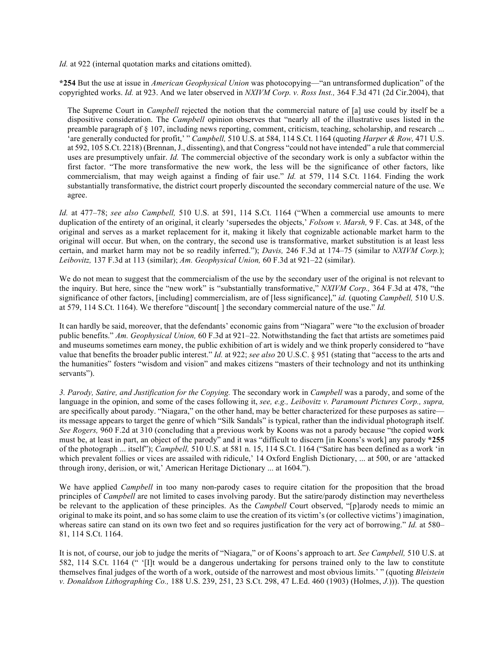*Id.* at 922 (internal quotation marks and citations omitted).

**\*254** But the use at issue in *American Geophysical Union* was photocopying—"an untransformed duplication" of the copyrighted works. *Id.* at 923. And we later observed in *NXIVM Corp. v. Ross Inst.,* 364 F.3d 471 (2d Cir.2004), that

The Supreme Court in *Campbell* rejected the notion that the commercial nature of [a] use could by itself be a dispositive consideration. The *Campbell* opinion observes that "nearly all of the illustrative uses listed in the preamble paragraph of § 107, including news reporting, comment, criticism, teaching, scholarship, and research ... 'are generally conducted for profit,' " *Campbell,* 510 U.S. at 584, 114 S.Ct. 1164 (quoting *Harper & Row,* 471 U.S. at 592, 105 S.Ct. 2218) (Brennan, J., dissenting), and that Congress "could not have intended" a rule that commercial uses are presumptively unfair. *Id.* The commercial objective of the secondary work is only a subfactor within the first factor. "The more transformative the new work, the less will be the significance of other factors, like commercialism, that may weigh against a finding of fair use." *Id.* at 579, 114 S.Ct. 1164. Finding the work substantially transformative, the district court properly discounted the secondary commercial nature of the use. We agree.

*Id.* at 477–78; *see also Campbell,* 510 U.S. at 591, 114 S.Ct. 1164 ("When a commercial use amounts to mere duplication of the entirety of an original, it clearly 'supersedes the objects,' *Folsom v. Marsh,* 9 F. Cas. at 348, of the original and serves as a market replacement for it, making it likely that cognizable actionable market harm to the original will occur. But when, on the contrary, the second use is transformative, market substitution is at least less certain, and market harm may not be so readily inferred."); *Davis,* 246 F.3d at 174–75 (similar to *NXIVM Corp.*); *Leibovitz,* 137 F.3d at 113 (similar); *Am. Geophysical Union,* 60 F.3d at 921–22 (similar).

We do not mean to suggest that the commercialism of the use by the secondary user of the original is not relevant to the inquiry. But here, since the "new work" is "substantially transformative," *NXIVM Corp.,* 364 F.3d at 478, "the significance of other factors, [including] commercialism, are of [less significance]," *id.* (quoting *Campbell,* 510 U.S. at 579, 114 S.Ct. 1164). We therefore "discount[ ] the secondary commercial nature of the use." *Id.*

It can hardly be said, moreover, that the defendants' economic gains from "Niagara" were "to the exclusion of broader public benefits." *Am. Geophysical Union,* 60 F.3d at 921–22. Notwithstanding the fact that artists are sometimes paid and museums sometimes earn money, the public exhibition of art is widely and we think properly considered to "have value that benefits the broader public interest." *Id.* at 922; *see also* 20 U.S.C. § 951 (stating that "access to the arts and the humanities" fosters "wisdom and vision" and makes citizens "masters of their technology and not its unthinking servants").

*3. Parody, Satire, and Justification for the Copying.* The secondary work in *Campbell* was a parody, and some of the language in the opinion, and some of the cases following it, *see, e.g., Leibovitz v. Paramount Pictures Corp., supra,* are specifically about parody. "Niagara," on the other hand, may be better characterized for these purposes as satire its message appears to target the genre of which "Silk Sandals" is typical, rather than the individual photograph itself. *See Rogers,* 960 F.2d at 310 (concluding that a previous work by Koons was not a parody because "the copied work must be, at least in part, an object of the parody" and it was "difficult to discern [in Koons's work] any parody **\*255** of the photograph ... itself"); *Campbell,* 510 U.S. at 581 n. 15, 114 S.Ct. 1164 ("Satire has been defined as a work 'in which prevalent follies or vices are assailed with ridicule,' 14 Oxford English Dictionary, ... at 500, or are 'attacked through irony, derision, or wit,' American Heritage Dictionary ... at 1604.").

We have applied *Campbell* in too many non-parody cases to require citation for the proposition that the broad principles of *Campbell* are not limited to cases involving parody. But the satire/parody distinction may nevertheless be relevant to the application of these principles. As the *Campbell* Court observed, "[p]arody needs to mimic an original to make its point, and so has some claim to use the creation of its victim's (or collective victims') imagination, whereas satire can stand on its own two feet and so requires justification for the very act of borrowing." *Id.* at 580– 81, 114 S.Ct. 1164.

It is not, of course, our job to judge the merits of "Niagara," or of Koons's approach to art. *See Campbell,* 510 U.S. at 582, 114 S.Ct. 1164 (" '[I]t would be a dangerous undertaking for persons trained only to the law to constitute themselves final judges of the worth of a work, outside of the narrowest and most obvious limits.' " (quoting *Bleistein v. Donaldson Lithographing Co.,* 188 U.S. 239, 251, 23 S.Ct. 298, 47 L.Ed. 460 (1903) (Holmes, *J.*))). The question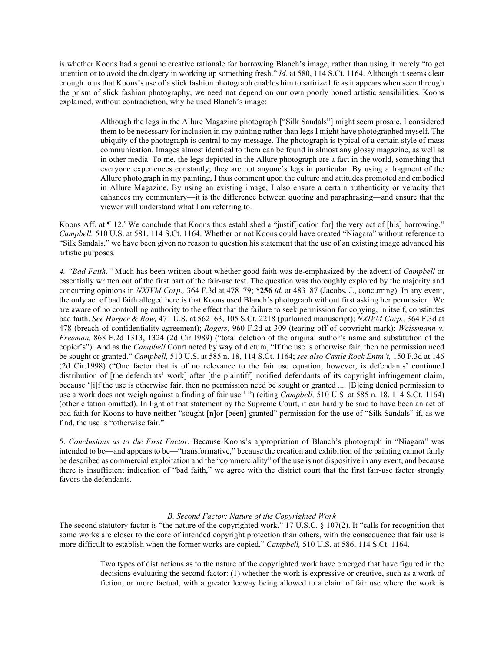is whether Koons had a genuine creative rationale for borrowing Blanch's image, rather than using it merely "to get attention or to avoid the drudgery in working up something fresh." *Id.* at 580, 114 S.Ct. 1164. Although it seems clear enough to us that Koons's use of a slick fashion photograph enables him to satirize life as it appears when seen through the prism of slick fashion photography, we need not depend on our own poorly honed artistic sensibilities. Koons explained, without contradiction, why he used Blanch's image:

> Although the legs in the Allure Magazine photograph ["Silk Sandals"] might seem prosaic, I considered them to be necessary for inclusion in my painting rather than legs I might have photographed myself. The ubiquity of the photograph is central to my message. The photograph is typical of a certain style of mass communication. Images almost identical to them can be found in almost any glossy magazine, as well as in other media. To me, the legs depicted in the Allure photograph are a fact in the world, something that everyone experiences constantly; they are not anyone's legs in particular. By using a fragment of the Allure photograph in my painting, I thus comment upon the culture and attitudes promoted and embodied in Allure Magazine. By using an existing image, I also ensure a certain authenticity or veracity that enhances my commentary—it is the difference between quoting and paraphrasing—and ensure that the viewer will understand what I am referring to.

Koons Aff. at  $\P$  12.<sup>5</sup> We conclude that Koons thus established a "justiffication for] the very act of [his] borrowing." *Campbell,* 510 U.S. at 581, 114 S.Ct. 1164. Whether or not Koons could have created "Niagara" without reference to "Silk Sandals," we have been given no reason to question his statement that the use of an existing image advanced his artistic purposes.

*4. "Bad Faith."* Much has been written about whether good faith was de-emphasized by the advent of *Campbell* or essentially written out of the first part of the fair-use test. The question was thoroughly explored by the majority and concurring opinions in *NXIVM Corp.,* 364 F.3d at 478–79; **\*256** *id.* at 483–87 (Jacobs, J., concurring). In any event, the only act of bad faith alleged here is that Koons used Blanch's photograph without first asking her permission. We are aware of no controlling authority to the effect that the failure to seek permission for copying, in itself, constitutes bad faith. *See Harper & Row,* 471 U.S. at 562–63, 105 S.Ct. 2218 (purloined manuscript); *NXIVM Corp.,* 364 F.3d at 478 (breach of confidentiality agreement); *Rogers,* 960 F.2d at 309 (tearing off of copyright mark); *Weissmann v. Freeman,* 868 F.2d 1313, 1324 (2d Cir.1989) ("total deletion of the original author's name and substitution of the copier's"). And as the *Campbell* Court noted by way of dictum, "If the use is otherwise fair, then no permission need be sought or granted." *Campbell,* 510 U.S. at 585 n. 18, 114 S.Ct. 1164; *see also Castle Rock Entm't,* 150 F.3d at 146 (2d Cir.1998) ("One factor that is of no relevance to the fair use equation, however, is defendants' continued distribution of [the defendants' work] after [the plaintiff] notified defendants of its copyright infringement claim, because '[i]f the use is otherwise fair, then no permission need be sought or granted .... [B]eing denied permission to use a work does not weigh against a finding of fair use.' ") (citing *Campbell,* 510 U.S. at 585 n. 18, 114 S.Ct. 1164) (other citation omitted). In light of that statement by the Supreme Court, it can hardly be said to have been an act of bad faith for Koons to have neither "sought [n]or [been] granted" permission for the use of "Silk Sandals" if, as we find, the use is "otherwise fair."

5. *Conclusions as to the First Factor.* Because Koons's appropriation of Blanch's photograph in "Niagara" was intended to be—and appears to be—"transformative," because the creation and exhibition of the painting cannot fairly be described as commercial exploitation and the "commerciality" of the use is not dispositive in any event, and because there is insufficient indication of "bad faith," we agree with the district court that the first fair-use factor strongly favors the defendants.

# *B. Second Factor: Nature of the Copyrighted Work*

The second statutory factor is "the nature of the copyrighted work." 17 U.S.C. § 107(2). It "calls for recognition that some works are closer to the core of intended copyright protection than others, with the consequence that fair use is more difficult to establish when the former works are copied." *Campbell,* 510 U.S. at 586, 114 S.Ct. 1164.

> Two types of distinctions as to the nature of the copyrighted work have emerged that have figured in the decisions evaluating the second factor: (1) whether the work is expressive or creative, such as a work of fiction, or more factual, with a greater leeway being allowed to a claim of fair use where the work is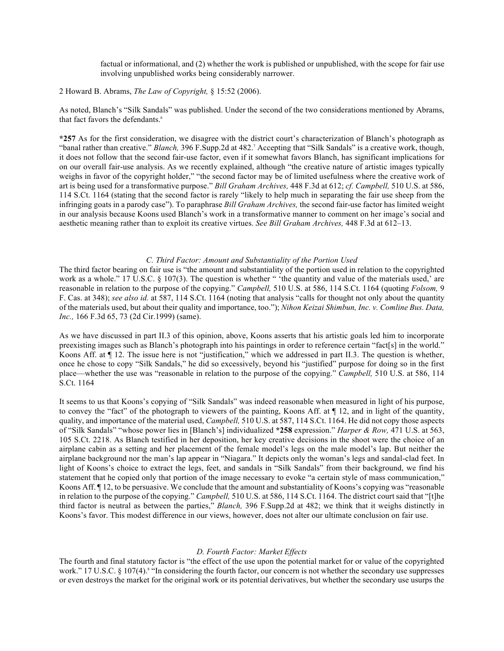factual or informational, and (2) whether the work is published or unpublished, with the scope for fair use involving unpublished works being considerably narrower.

2 Howard B. Abrams, *The Law of Copyright,* § 15:52 (2006).

As noted, Blanch's "Silk Sandals" was published. Under the second of the two considerations mentioned by Abrams, that fact favors the defendants.<sup>6</sup>

**\*257** As for the first consideration, we disagree with the district court's characterization of Blanch's photograph as "banal rather than creative." *Blanch*, 396 F.Supp.2d at 482.<sup>7</sup> Accepting that "Silk Sandals" is a creative work, though, it does not follow that the second fair-use factor, even if it somewhat favors Blanch, has significant implications for on our overall fair-use analysis. As we recently explained, although "the creative nature of artistic images typically weighs in favor of the copyright holder," "the second factor may be of limited usefulness where the creative work of art is being used for a transformative purpose." *Bill Graham Archives,* 448 F.3d at 612; *cf. Campbell,* 510 U.S. at 586, 114 S.Ct. 1164 (stating that the second factor is rarely "likely to help much in separating the fair use sheep from the infringing goats in a parody case"). To paraphrase *Bill Graham Archives,* the second fair-use factor has limited weight in our analysis because Koons used Blanch's work in a transformative manner to comment on her image's social and aesthetic meaning rather than to exploit its creative virtues. *See Bill Graham Archives,* 448 F.3d at 612–13.

### *C. Third Factor: Amount and Substantiality of the Portion Used*

The third factor bearing on fair use is "the amount and substantiality of the portion used in relation to the copyrighted work as a whole." 17 U.S.C. § 107(3). The question is whether " 'the quantity and value of the materials used,' are reasonable in relation to the purpose of the copying." *Campbell,* 510 U.S. at 586, 114 S.Ct. 1164 (quoting *Folsom,* 9 F. Cas. at 348); *see also id.* at 587, 114 S.Ct. 1164 (noting that analysis "calls for thought not only about the quantity of the materials used, but about their quality and importance, too."); *Nihon Keizai Shimbun, Inc. v. Comline Bus. Data, Inc.,* 166 F.3d 65, 73 (2d Cir.1999) (same).

As we have discussed in part II.3 of this opinion, above, Koons asserts that his artistic goals led him to incorporate preexisting images such as Blanch's photograph into his paintings in order to reference certain "fact[s] in the world." Koons Aff. at  $\P$  12. The issue here is not "justification," which we addressed in part II.3. The question is whether, once he chose to copy "Silk Sandals," he did so excessively, beyond his "justified" purpose for doing so in the first place—whether the use was "reasonable in relation to the purpose of the copying." *Campbell,* 510 U.S. at 586, 114 S.Ct. 1164

It seems to us that Koons's copying of "Silk Sandals" was indeed reasonable when measured in light of his purpose, to convey the "fact" of the photograph to viewers of the painting, Koons Aff. at ¶ 12, and in light of the quantity, quality, and importance of the material used, *Campbell,* 510 U.S. at 587, 114 S.Ct. 1164. He did not copy those aspects of "Silk Sandals" "whose power lies in [Blanch's] individualized **\*258** expression." *Harper & Row,* 471 U.S. at 563, 105 S.Ct. 2218. As Blanch testified in her deposition, her key creative decisions in the shoot were the choice of an airplane cabin as a setting and her placement of the female model's legs on the male model's lap. But neither the airplane background nor the man's lap appear in "Niagara." It depicts only the woman's legs and sandal-clad feet. In light of Koons's choice to extract the legs, feet, and sandals in "Silk Sandals" from their background, we find his statement that he copied only that portion of the image necessary to evoke "a certain style of mass communication," Koons Aff. ¶ 12, to be persuasive. We conclude that the amount and substantiality of Koons's copying was "reasonable in relation to the purpose of the copying." *Campbell,* 510 U.S. at 586, 114 S.Ct. 1164. The district court said that "[t]he third factor is neutral as between the parties," *Blanch,* 396 F.Supp.2d at 482; we think that it weighs distinctly in Koons's favor. This modest difference in our views, however, does not alter our ultimate conclusion on fair use.

# *D. Fourth Factor: Market Effects*

The fourth and final statutory factor is "the effect of the use upon the potential market for or value of the copyrighted work." 17 U.S.C. § 107(4).<sup>8</sup> "In considering the fourth factor, our concern is not whether the secondary use suppresses or even destroys the market for the original work or its potential derivatives, but whether the secondary use usurps the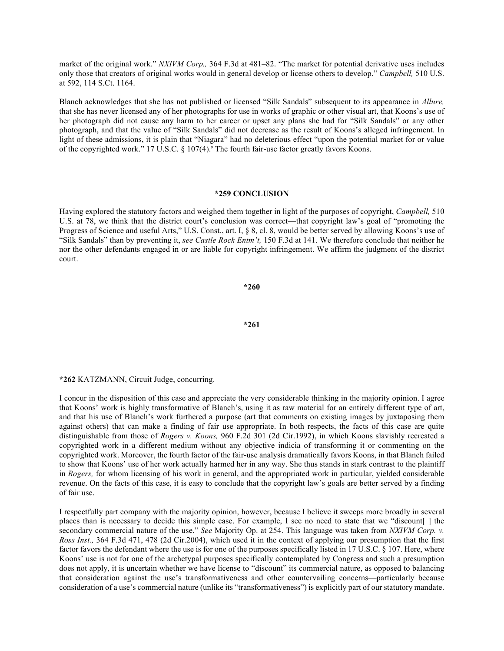market of the original work." *NXIVM Corp.,* 364 F.3d at 481–82. "The market for potential derivative uses includes only those that creators of original works would in general develop or license others to develop." *Campbell,* 510 U.S. at 592, 114 S.Ct. 1164.

Blanch acknowledges that she has not published or licensed "Silk Sandals" subsequent to its appearance in *Allure,* that she has never licensed any of her photographs for use in works of graphic or other visual art, that Koons's use of her photograph did not cause any harm to her career or upset any plans she had for "Silk Sandals" or any other photograph, and that the value of "Silk Sandals" did not decrease as the result of Koons's alleged infringement. In light of these admissions, it is plain that "Niagara" had no deleterious effect "upon the potential market for or value of the copyrighted work." 17 U.S.C. § 107(4). The fourth fair-use factor greatly favors Koons.

# **\*259 CONCLUSION**

Having explored the statutory factors and weighed them together in light of the purposes of copyright, *Campbell,* 510 U.S. at 78, we think that the district court's conclusion was correct—that copyright law's goal of "promoting the Progress of Science and useful Arts," U.S. Const., art. I, § 8, cl. 8, would be better served by allowing Koons's use of "Silk Sandals" than by preventing it, *see Castle Rock Entm't,* 150 F.3d at 141. We therefore conclude that neither he nor the other defendants engaged in or are liable for copyright infringement. We affirm the judgment of the district court.

**\*260**

**\*261**

**\*262** KATZMANN, Circuit Judge, concurring.

I concur in the disposition of this case and appreciate the very considerable thinking in the majority opinion. I agree that Koons' work is highly transformative of Blanch's, using it as raw material for an entirely different type of art, and that his use of Blanch's work furthered a purpose (art that comments on existing images by juxtaposing them against others) that can make a finding of fair use appropriate. In both respects, the facts of this case are quite distinguishable from those of *Rogers v. Koons,* 960 F.2d 301 (2d Cir.1992), in which Koons slavishly recreated a copyrighted work in a different medium without any objective indicia of transforming it or commenting on the copyrighted work. Moreover, the fourth factor of the fair-use analysis dramatically favors Koons, in that Blanch failed to show that Koons' use of her work actually harmed her in any way. She thus stands in stark contrast to the plaintiff in *Rogers,* for whom licensing of his work in general, and the appropriated work in particular, yielded considerable revenue. On the facts of this case, it is easy to conclude that the copyright law's goals are better served by a finding of fair use.

I respectfully part company with the majority opinion, however, because I believe it sweeps more broadly in several places than is necessary to decide this simple case. For example, I see no need to state that we "discount[ ] the secondary commercial nature of the use." *See* Majority Op. at 254. This language was taken from *NXIVM Corp. v. Ross Inst.,* 364 F.3d 471, 478 (2d Cir.2004), which used it in the context of applying our presumption that the first factor favors the defendant where the use is for one of the purposes specifically listed in 17 U.S.C. § 107. Here, where Koons' use is not for one of the archetypal purposes specifically contemplated by Congress and such a presumption does not apply, it is uncertain whether we have license to "discount" its commercial nature, as opposed to balancing that consideration against the use's transformativeness and other countervailing concerns—particularly because consideration of a use's commercial nature (unlike its "transformativeness") is explicitly part of our statutory mandate.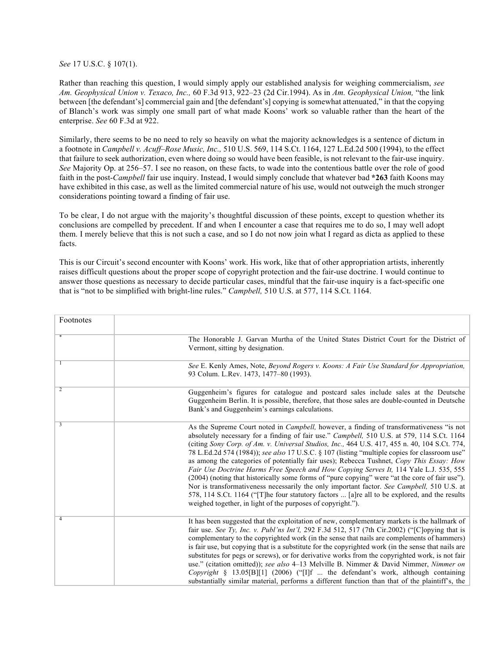*See* 17 U.S.C. § 107(1).

Rather than reaching this question, I would simply apply our established analysis for weighing commercialism, *see Am. Geophysical Union v. Texaco, Inc.,* 60 F.3d 913, 922–23 (2d Cir.1994). As in *Am. Geophysical Union,* "the link between [the defendant's] commercial gain and [the defendant's] copying is somewhat attenuated," in that the copying of Blanch's work was simply one small part of what made Koons' work so valuable rather than the heart of the enterprise. *See* 60 F.3d at 922.

Similarly, there seems to be no need to rely so heavily on what the majority acknowledges is a sentence of dictum in a footnote in *Campbell v. Acuff–Rose Music, Inc.,* 510 U.S. 569, 114 S.Ct. 1164, 127 L.Ed.2d 500 (1994), to the effect that failure to seek authorization, even where doing so would have been feasible, is not relevant to the fair-use inquiry. *See* Majority Op. at 256–57. I see no reason, on these facts, to wade into the contentious battle over the role of good faith in the post-*Campbell* fair use inquiry. Instead, I would simply conclude that whatever bad **\*263** faith Koons may have exhibited in this case, as well as the limited commercial nature of his use, would not outweigh the much stronger considerations pointing toward a finding of fair use.

To be clear, I do not argue with the majority's thoughtful discussion of these points, except to question whether its conclusions are compelled by precedent. If and when I encounter a case that requires me to do so, I may well adopt them. I merely believe that this is not such a case, and so I do not now join what I regard as dicta as applied to these facts.

This is our Circuit's second encounter with Koons' work. His work, like that of other appropriation artists, inherently raises difficult questions about the proper scope of copyright protection and the fair-use doctrine. I would continue to answer those questions as necessary to decide particular cases, mindful that the fair-use inquiry is a fact-specific one that is "not to be simplified with bright-line rules." *Campbell,* 510 U.S. at 577, 114 S.Ct. 1164.

| Footnotes      |                                                                                                                                                                                                                                                                                                                                                                                                                                                                                                                                                                                                                                                                                                                                                                                                                                                                                                                                                     |
|----------------|-----------------------------------------------------------------------------------------------------------------------------------------------------------------------------------------------------------------------------------------------------------------------------------------------------------------------------------------------------------------------------------------------------------------------------------------------------------------------------------------------------------------------------------------------------------------------------------------------------------------------------------------------------------------------------------------------------------------------------------------------------------------------------------------------------------------------------------------------------------------------------------------------------------------------------------------------------|
|                | The Honorable J. Garvan Murtha of the United States District Court for the District of<br>Vermont, sitting by designation.                                                                                                                                                                                                                                                                                                                                                                                                                                                                                                                                                                                                                                                                                                                                                                                                                          |
|                | See E. Kenly Ames, Note, Beyond Rogers v. Koons: A Fair Use Standard for Appropriation,<br>93 Colum. L.Rev. 1473, 1477-80 (1993).                                                                                                                                                                                                                                                                                                                                                                                                                                                                                                                                                                                                                                                                                                                                                                                                                   |
| $\overline{2}$ | Guggenheim's figures for catalogue and postcard sales include sales at the Deutsche<br>Guggenheim Berlin. It is possible, therefore, that those sales are double-counted in Deutsche<br>Bank's and Guggenheim's earnings calculations.                                                                                                                                                                                                                                                                                                                                                                                                                                                                                                                                                                                                                                                                                                              |
| 3              | As the Supreme Court noted in <i>Campbell</i> , however, a finding of transformativeness "is not<br>absolutely necessary for a finding of fair use." Campbell, 510 U.S. at 579, 114 S.Ct. 1164<br>(citing Sony Corp. of Am. v. Universal Studios, Inc., 464 U.S. 417, 455 n. 40, 104 S.Ct. 774,<br>78 L.Ed.2d 574 (1984)); see also 17 U.S.C. § 107 (listing "multiple copies for classroom use"<br>as among the categories of potentially fair uses); Rebecca Tushnet, Copy This Essay: How<br>Fair Use Doctrine Harms Free Speech and How Copying Serves It, 114 Yale L.J. 535, 555<br>(2004) (noting that historically some forms of "pure copying" were "at the core of fair use").<br>Nor is transformativeness necessarily the only important factor. See Campbell, 510 U.S. at<br>578, 114 S.Ct. 1164 ("The four statutory factors  [a]re all to be explored, and the results<br>weighed together, in light of the purposes of copyright."). |
| 4              | It has been suggested that the exploitation of new, complementary markets is the hallmark of<br>fair use. See Ty, Inc. v. Publ'ns Int'l, 292 F.3d 512, 517 (7th Cir.2002) ("[C]opying that is<br>complementary to the copyrighted work (in the sense that nails are complements of hammers)<br>is fair use, but copying that is a substitute for the copyrighted work (in the sense that nails are<br>substitutes for pegs or screws), or for derivative works from the copyrighted work, is not fair<br>use." (citation omitted)); see also 4–13 Melville B. Nimmer & David Nimmer, Nimmer on<br>Copyright $\S$ 13.05[B][1] (2006) ("[I]f  the defendant's work, although containing<br>substantially similar material, performs a different function than that of the plaintiff's, the                                                                                                                                                            |